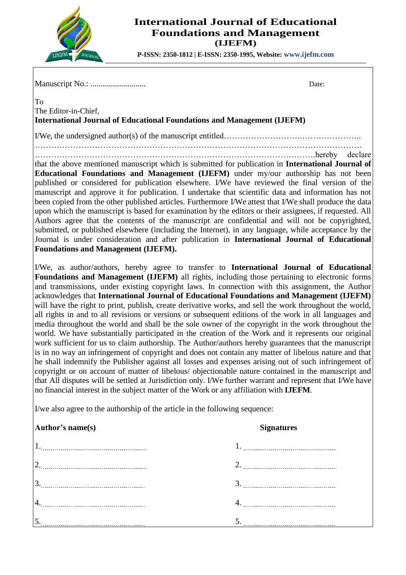

To

## **International Journal of Educational Foundations and Management (IJEFM)**

**P-ISSN: 2350-1812 | E-ISSN: 2350-1995, Website: www.ijefm.com**

Manuscript No.: ........................... Date:

The Editor-in-Chief, **International Journal of Educational Foundations and Management (IJEFM)**

I/We, the undersigned author(s) of the manuscript entitled……………………….…………………..

…………………………………………………………………………………………………………

………………………………………………………………………………………….hereby declare that the above mentioned manuscript which is submitted for publication in **International Journal of Educational Foundations and Management (IJEFM)** under my/our authorship has not been published or considered for publication elsewhere. I/We have reviewed the final version of the manuscript and approve it for publication. I undertake that scientific data and information has not been copied from the other published articles. Furthermore I/We attest that I/We shall produce the data upon which the manuscript is based for examination by the editors or their assignees, if requested. All Authors agree that the contents of the manuscript are confidential and will not be copyrighted, submitted, or published elsewhere (including the Internet), in any language, while acceptance by the Journal is under consideration and after publication in **International Journal of Educational Foundations and Management (IJEFM).**

I/We, as author/authors, hereby agree to transfer to **International Journal of Educational Foundations and Management (IJEFM)** all rights, including those pertaining to electronic forms and transmissions, under existing copyright laws. In connection with this assignment, the Author acknowledges that **International Journal of Educational Foundations and Management (IJEFM)** will have the right to print, publish, create derivative works, and sell the work throughout the world, all rights in and to all revisions or versions or subsequent editions of the work in all languages and media throughout the world and shall be the sole owner of the copyright in the work throughout the world. We have substantially participated in the creation of the Work and it represents our original work sufficient for us to claim authorship. The Author/authors hereby guarantees that the manuscript is in no way an infringement of copyright and does not contain any matter of libelous nature and that he shall indemnify the Publisher against all losses and expenses arising out of such infringement of copyright or on account of matter of libelous/ objectionable nature contained in the manuscript and that All disputes will be settled at Jurisdiction only. I/We further warrant and represent that I/We have no financial interest in the subject matter of the Work or any affiliation with **IJEFM**.

I/we also agree to the authorship of the article in the following sequence:

| Author's name(s) |  |
|------------------|--|
|                  |  |

| Author's name(s) | <b>Signatures</b> |  |
|------------------|-------------------|--|
|                  |                   |  |
|                  |                   |  |
|                  |                   |  |
|                  |                   |  |
|                  |                   |  |